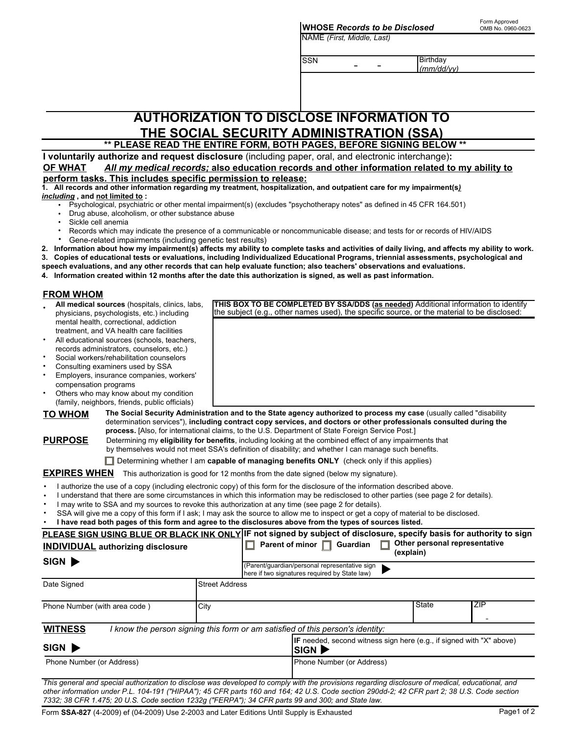- -

NAME *(First, Middle, Last)*

SSN Birthday

*(mm/dd/yy)*

### **THE SOCIAL SECURITY ADMINISTRATION (SSA) \*\* PLEASE READ THE ENTIRE FORM, BOTH PAGES, BEFORE SIGNING BELOW \*\* I voluntarily authorize and request disclosure** (including paper, oral, and electronic interchange)**: OF WHAT** *All my medical records;* **also education records and other information related to my ability to perform tasks. This includes specific permission to release: 1. All records and other information regarding my treatment, hospitalization, and outpatient care for my impairment(s***) including* **, and not limited to :** Psychological, psychiatric or other mental impairment(s) (excludes "psychotherapy notes" as defined in 45 CFR 164.501) • Drug abuse, alcoholism, or other substance abuse

**AUTHORIZATION TO DISCLOSE INFORMATION TO** 

- Sickle cell anemia • •
- Records which may indicate the presence of a communicable or noncommunicable disease; and tests for or records of HIV/AIDS •
- Gene-related impairments (including genetic test results) •

**2. Information about how my impairment(s) affects my ability to complete tasks and activities of daily living, and affects my ability to work. 3. Copies of educational tests or evaluations, including Individualized Educational Programs, triennial assessments, psychological and** 

**speech evaluations, and any other records that can help evaluate function; also teachers' observations and evaluations.**

**4. Information created within 12 months after the date this authorization is signed, as well as past information.**

# **FROM WHOM**

- **All medical sources** (hospitals, clinics, labs, physicians, psychologists, etc.) including mental health, correctional, addiction treatment, and VA health care facilities •
- All educational sources (schools, teachers, records administrators, counselors, etc.) •
- Social workers/rehabilitation counselors •
- Consulting examiners used by SSA •
- Employers, insurance companies, workers' compensation programs •
- Others who may know about my condition (family, neighbors, friends, public officials) •

**TO WHOM** The Social Security Administration and to the State agency authorized to process my case (usually called "disability determination services"), **including contract copy services, and doctors or other professionals consulted during the process.** [Also, for international claims, to the U.S. Department of State Foreign Service Post.]

**PURPOSE** Determining my **eligibility for benefits**, including looking at the combined effect of any impairments that by themselves would not meet SSA's definition of disability; and whether I can manage such benefits.

Determining whether I am **capable of managing benefits ONLY** (check only if this applies)

**EXPIRES WHEN** This authorization is good for 12 months from the date signed (below my signature).

#### I authorize the use of a copy (including electronic copy) of this form for the disclosure of the information described above. •

- I understand that there are some circumstances in which this information may be redisclosed to other parties (see page 2 for details). •
- I may write to SSA and my sources to revoke this authorization at any time (see page 2 for details). •
- SSA will give me a copy of this form if I ask; I may ask the source to allow me to inspect or get a copy of material to be disclosed. •

### **I have read both pages of this form and agree to the disclosures above from the types of sources listed.** •

| PLEASE SIGN USING BLUE OR BLACK INK ONLY IF not signed by subject of disclosure, specify basis for authority to sign |                |                                                                                                |                                                   |
|----------------------------------------------------------------------------------------------------------------------|----------------|------------------------------------------------------------------------------------------------|---------------------------------------------------|
| <b>INDIVIDUAL authorizing disclosure</b>                                                                             |                | Parent of minor $\Box$ Guardian                                                                | $\Box$ Other personal representative<br>(explain) |
| SIGN                                                                                                                 |                | (Parent/guardian/personal representative sign<br>here if two signatures required by State law) |                                                   |
| Date Signed                                                                                                          | Street Address |                                                                                                |                                                   |

| City<br>Phone Number (with area code)                                                            |                                                                                      |                           | State | <b>ZIP</b> |  |  |  |
|--------------------------------------------------------------------------------------------------|--------------------------------------------------------------------------------------|---------------------------|-------|------------|--|--|--|
| <b>WITNESS</b><br>I know the person signing this form or am satisfied of this person's identity: |                                                                                      |                           |       |            |  |  |  |
| SIGN                                                                                             | <b>IF</b> needed, second witness sign here (e.g., if signed with "X" above)<br> SIGN |                           |       |            |  |  |  |
| Phone Number (or Address)                                                                        |                                                                                      | Phone Number (or Address) |       |            |  |  |  |

*This general and special authorization to disclose was developed to comply with the provisions regarding disclosure of medical, educational, and other information under P.L. 104-191 ("HIPAA"); 45 CFR parts 160 and 164; 42 U.S. Code section 290dd-2; 42 CFR part 2; 38 U.S. Code section 7332; 38 CFR 1.475; 20 U.S. Code section 1232g ("FERPA"); 34 CFR parts 99 and 300; and State law.*

**THIS BOX TO BE COMPLETED BY SSA/DDS (as needed)** Additional information to identify the subject (e.g., other names used), the specific source, or the material to be disclosed: